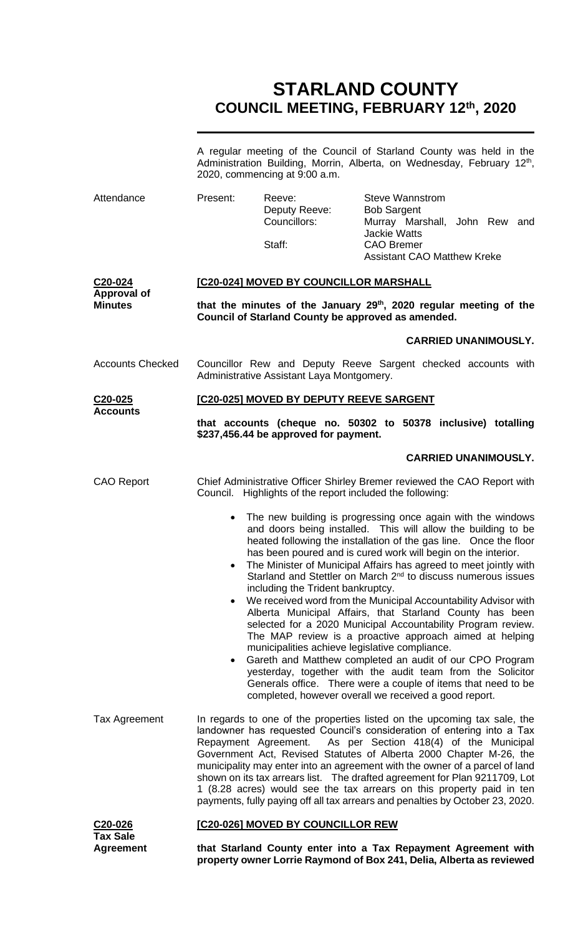# **STARLAND COUNTY COUNCIL MEETING, FEBRUARY 12th, 2020**

|                                         | A regular meeting of the Council of Starland County was held in the<br>Administration Building, Morrin, Alberta, on Wednesday, February 12 <sup>th</sup> ,<br>2020, commencing at 9:00 a.m. |                                                                                     |                                                                                                                                                                                                                                                                                                                                                                                                                                                                                                                                                                                                                                                                                                                                                                                                                                                                                                                                    |  |
|-----------------------------------------|---------------------------------------------------------------------------------------------------------------------------------------------------------------------------------------------|-------------------------------------------------------------------------------------|------------------------------------------------------------------------------------------------------------------------------------------------------------------------------------------------------------------------------------------------------------------------------------------------------------------------------------------------------------------------------------------------------------------------------------------------------------------------------------------------------------------------------------------------------------------------------------------------------------------------------------------------------------------------------------------------------------------------------------------------------------------------------------------------------------------------------------------------------------------------------------------------------------------------------------|--|
| Attendance                              | Present:                                                                                                                                                                                    | Reeve:<br>Deputy Reeve:<br>Councillors:                                             | <b>Steve Wannstrom</b><br><b>Bob Sargent</b><br>Murray Marshall, John Rew and                                                                                                                                                                                                                                                                                                                                                                                                                                                                                                                                                                                                                                                                                                                                                                                                                                                      |  |
|                                         |                                                                                                                                                                                             | Staff:                                                                              | <b>Jackie Watts</b><br><b>CAO Bremer</b><br><b>Assistant CAO Matthew Kreke</b>                                                                                                                                                                                                                                                                                                                                                                                                                                                                                                                                                                                                                                                                                                                                                                                                                                                     |  |
| C20-024<br><b>Approval of</b>           | [C20-024] MOVED BY COUNCILLOR MARSHALL                                                                                                                                                      |                                                                                     |                                                                                                                                                                                                                                                                                                                                                                                                                                                                                                                                                                                                                                                                                                                                                                                                                                                                                                                                    |  |
| <b>Minutes</b>                          | that the minutes of the January 29 <sup>th</sup> , 2020 regular meeting of the<br>Council of Starland County be approved as amended.                                                        |                                                                                     |                                                                                                                                                                                                                                                                                                                                                                                                                                                                                                                                                                                                                                                                                                                                                                                                                                                                                                                                    |  |
|                                         |                                                                                                                                                                                             |                                                                                     | <b>CARRIED UNANIMOUSLY.</b>                                                                                                                                                                                                                                                                                                                                                                                                                                                                                                                                                                                                                                                                                                                                                                                                                                                                                                        |  |
| <b>Accounts Checked</b>                 | Councillor Rew and Deputy Reeve Sargent checked accounts with<br>Administrative Assistant Laya Montgomery.                                                                                  |                                                                                     |                                                                                                                                                                                                                                                                                                                                                                                                                                                                                                                                                                                                                                                                                                                                                                                                                                                                                                                                    |  |
| C <sub>20</sub> -025<br><b>Accounts</b> | [C20-025] MOVED BY DEPUTY REEVE SARGENT                                                                                                                                                     |                                                                                     |                                                                                                                                                                                                                                                                                                                                                                                                                                                                                                                                                                                                                                                                                                                                                                                                                                                                                                                                    |  |
|                                         |                                                                                                                                                                                             | \$237,456.44 be approved for payment.                                               | that accounts (cheque no. 50302 to 50378 inclusive) totalling                                                                                                                                                                                                                                                                                                                                                                                                                                                                                                                                                                                                                                                                                                                                                                                                                                                                      |  |
|                                         |                                                                                                                                                                                             |                                                                                     | <b>CARRIED UNANIMOUSLY.</b>                                                                                                                                                                                                                                                                                                                                                                                                                                                                                                                                                                                                                                                                                                                                                                                                                                                                                                        |  |
| <b>CAO Report</b>                       |                                                                                                                                                                                             | Council. Highlights of the report included the following:                           | Chief Administrative Officer Shirley Bremer reviewed the CAO Report with                                                                                                                                                                                                                                                                                                                                                                                                                                                                                                                                                                                                                                                                                                                                                                                                                                                           |  |
|                                         | $\bullet$<br>$\bullet$<br>$\bullet$                                                                                                                                                         | including the Trident bankruptcy.<br>municipalities achieve legislative compliance. | The new building is progressing once again with the windows<br>and doors being installed. This will allow the building to be<br>heated following the installation of the gas line. Once the floor<br>has been poured and is cured work will begin on the interior.<br>The Minister of Municipal Affairs has agreed to meet jointly with<br>Starland and Stettler on March 2 <sup>nd</sup> to discuss numerous issues<br>We received word from the Municipal Accountability Advisor with<br>Alberta Municipal Affairs, that Starland County has been<br>selected for a 2020 Municipal Accountability Program review.<br>The MAP review is a proactive approach aimed at helping<br>Gareth and Matthew completed an audit of our CPO Program<br>yesterday, together with the audit team from the Solicitor<br>Generals office. There were a couple of items that need to be<br>completed, however overall we received a good report. |  |
| Tax Agreement                           | Repayment Agreement.                                                                                                                                                                        |                                                                                     | In regards to one of the properties listed on the upcoming tax sale, the<br>landowner has requested Council's consideration of entering into a Tax<br>As per Section 418(4) of the Municipal<br>Government Act, Revised Statutes of Alberta 2000 Chapter M-26, the<br>municipality may enter into an agreement with the owner of a parcel of land<br>shown on its tax arrears list. The drafted agreement for Plan 9211709, Lot<br>1 (8.28 acres) would see the tax arrears on this property paid in ten<br>payments, fully paying off all tax arrears and penalties by October 23, 2020.                                                                                                                                                                                                                                                                                                                                          |  |
| C20-026<br><b>Tax Sale</b>              |                                                                                                                                                                                             | [C20-026] MOVED BY COUNCILLOR REW                                                   |                                                                                                                                                                                                                                                                                                                                                                                                                                                                                                                                                                                                                                                                                                                                                                                                                                                                                                                                    |  |
| <b>Agreement</b>                        |                                                                                                                                                                                             |                                                                                     | that Starland County enter into a Tax Repayment Agreement with<br>property owner Lorrie Raymond of Box 241, Delia, Alberta as reviewed                                                                                                                                                                                                                                                                                                                                                                                                                                                                                                                                                                                                                                                                                                                                                                                             |  |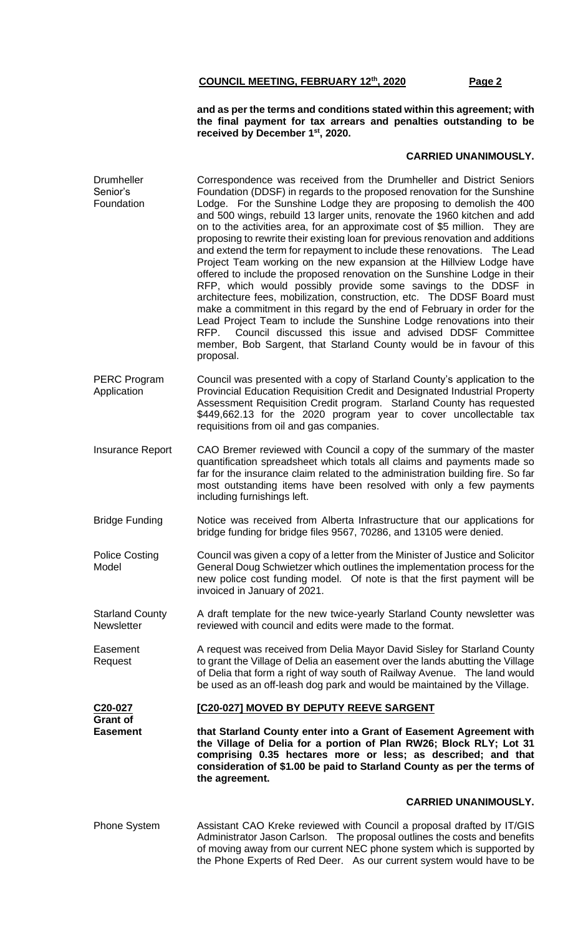**and as per the terms and conditions stated within this agreement; with the final payment for tax arrears and penalties outstanding to be received by December 1st, 2020.**

## **CARRIED UNANIMOUSLY.**

| <b>Drumheller</b><br>Senior's<br>Foundation | Correspondence was received from the Drumheller and District Seniors<br>Foundation (DDSF) in regards to the proposed renovation for the Sunshine<br>Lodge. For the Sunshine Lodge they are proposing to demolish the 400<br>and 500 wings, rebuild 13 larger units, renovate the 1960 kitchen and add<br>on to the activities area, for an approximate cost of \$5 million. They are<br>proposing to rewrite their existing loan for previous renovation and additions<br>and extend the term for repayment to include these renovations. The Lead<br>Project Team working on the new expansion at the Hillview Lodge have<br>offered to include the proposed renovation on the Sunshine Lodge in their |  |  |
|---------------------------------------------|---------------------------------------------------------------------------------------------------------------------------------------------------------------------------------------------------------------------------------------------------------------------------------------------------------------------------------------------------------------------------------------------------------------------------------------------------------------------------------------------------------------------------------------------------------------------------------------------------------------------------------------------------------------------------------------------------------|--|--|
|                                             | RFP, which would possibly provide some savings to the DDSF in<br>architecture fees, mobilization, construction, etc. The DDSF Board must<br>make a commitment in this regard by the end of February in order for the<br>Lead Project Team to include the Sunshine Lodge renovations into their<br>Council discussed this issue and advised DDSF Committee<br>RFP.<br>member, Bob Sargent, that Starland County would be in favour of this<br>proposal.                                                                                                                                                                                                                                                  |  |  |
| <b>PERC Program</b><br>Application          | Council was presented with a copy of Starland County's application to the<br>Provincial Education Requisition Credit and Designated Industrial Property<br>Assessment Requisition Credit program. Starland County has requested<br>\$449,662.13 for the 2020 program year to cover uncollectable tax<br>requisitions from oil and gas companies.                                                                                                                                                                                                                                                                                                                                                        |  |  |
| <b>Insurance Report</b>                     | CAO Bremer reviewed with Council a copy of the summary of the master<br>quantification spreadsheet which totals all claims and payments made so<br>far for the insurance claim related to the administration building fire. So far<br>most outstanding items have been resolved with only a few payments<br>including furnishings left.                                                                                                                                                                                                                                                                                                                                                                 |  |  |
| <b>Bridge Funding</b>                       | Notice was received from Alberta Infrastructure that our applications for<br>bridge funding for bridge files 9567, 70286, and 13105 were denied.                                                                                                                                                                                                                                                                                                                                                                                                                                                                                                                                                        |  |  |
| <b>Police Costing</b><br>Model              | Council was given a copy of a letter from the Minister of Justice and Solicitor<br>General Doug Schwietzer which outlines the implementation process for the<br>new police cost funding model. Of note is that the first payment will be<br>invoiced in January of 2021.                                                                                                                                                                                                                                                                                                                                                                                                                                |  |  |
| <b>Starland County</b><br><b>Newsletter</b> | A draft template for the new twice-yearly Starland County newsletter was<br>reviewed with council and edits were made to the format.                                                                                                                                                                                                                                                                                                                                                                                                                                                                                                                                                                    |  |  |
| Easement<br>Request                         | A request was received from Delia Mayor David Sisley for Starland County<br>to grant the Village of Delia an easement over the lands abutting the Village<br>of Delia that form a right of way south of Railway Avenue. The land would<br>be used as an off-leash dog park and would be maintained by the Village.                                                                                                                                                                                                                                                                                                                                                                                      |  |  |
| C <sub>20</sub> -027<br><b>Grant of</b>     | [C20-027] MOVED BY DEPUTY REEVE SARGENT                                                                                                                                                                                                                                                                                                                                                                                                                                                                                                                                                                                                                                                                 |  |  |
| <b>Easement</b>                             | that Starland County enter into a Grant of Easement Agreement with<br>the Village of Delia for a portion of Plan RW26; Block RLY; Lot 31<br>comprising 0.35 hectares more or less; as described; and that<br>consideration of \$1.00 be paid to Starland County as per the terms of<br>the agreement.                                                                                                                                                                                                                                                                                                                                                                                                   |  |  |
|                                             | <b>CARRIED UNANIMOUSLY.</b>                                                                                                                                                                                                                                                                                                                                                                                                                                                                                                                                                                                                                                                                             |  |  |
| <b>Phone System</b>                         | Assistant CAO Kreke reviewed with Council a proposal drafted by IT/GIS<br>Administrator Jason Carlson. The proposal outlines the costs and benefits<br>of moving away from our current NEC phone system which is supported by<br>the Phone Experts of Red Deer. As our current system would have to be                                                                                                                                                                                                                                                                                                                                                                                                  |  |  |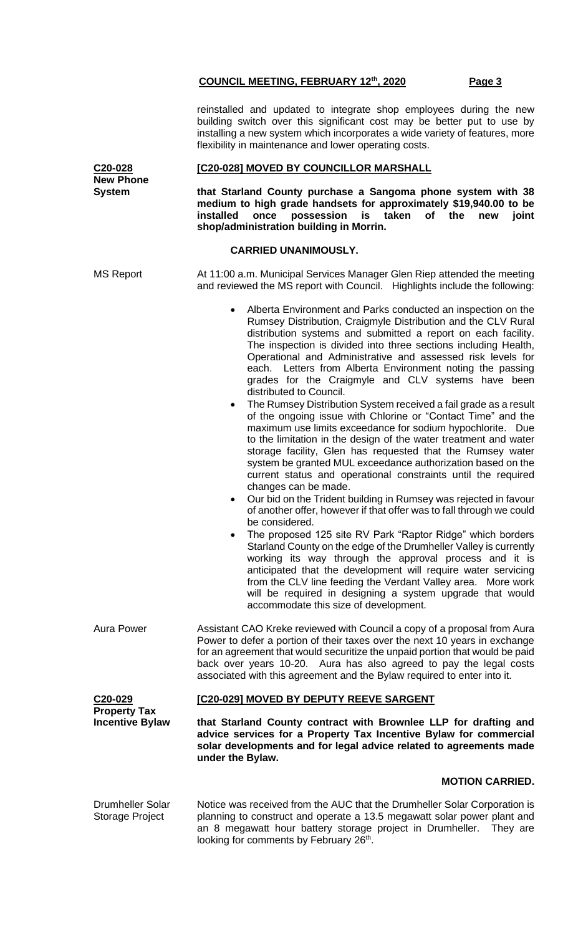reinstalled and updated to integrate shop employees during the new building switch over this significant cost may be better put to use by installing a new system which incorporates a wide variety of features, more flexibility in maintenance and lower operating costs.

### **[C20-028] MOVED BY COUNCILLOR MARSHALL**

**that Starland County purchase a Sangoma phone system with 38 medium to high grade handsets for approximately \$19,940.00 to be installed once possession is taken of the new joint shop/administration building in Morrin.**

#### **CARRIED UNANIMOUSLY.**

MS Report At 11:00 a.m. Municipal Services Manager Glen Riep attended the meeting and reviewed the MS report with Council. Highlights include the following:

- Alberta Environment and Parks conducted an inspection on the Rumsey Distribution, Craigmyle Distribution and the CLV Rural distribution systems and submitted a report on each facility. The inspection is divided into three sections including Health, Operational and Administrative and assessed risk levels for each. Letters from Alberta Environment noting the passing grades for the Craigmyle and CLV systems have been distributed to Council.
- The Rumsey Distribution System received a fail grade as a result of the ongoing issue with Chlorine or "Contact Time" and the maximum use limits exceedance for sodium hypochlorite. Due to the limitation in the design of the water treatment and water storage facility, Glen has requested that the Rumsey water system be granted MUL exceedance authorization based on the current status and operational constraints until the required changes can be made.
- Our bid on the Trident building in Rumsey was rejected in favour of another offer, however if that offer was to fall through we could be considered.
- The proposed 125 site RV Park "Raptor Ridge" which borders Starland County on the edge of the Drumheller Valley is currently working its way through the approval process and it is anticipated that the development will require water servicing from the CLV line feeding the Verdant Valley area. More work will be required in designing a system upgrade that would accommodate this size of development.

Aura Power Assistant CAO Kreke reviewed with Council a copy of a proposal from Aura Power to defer a portion of their taxes over the next 10 years in exchange for an agreement that would securitize the unpaid portion that would be paid back over years 10-20. Aura has also agreed to pay the legal costs associated with this agreement and the Bylaw required to enter into it.

**C20-029 Property Tax Incentive Bylaw**

**C20-028 New Phone System**

## **[C20-029] MOVED BY DEPUTY REEVE SARGENT**

**that Starland County contract with Brownlee LLP for drafting and advice services for a Property Tax Incentive Bylaw for commercial solar developments and for legal advice related to agreements made under the Bylaw.**

## **MOTION CARRIED.**

Drumheller Solar Storage Project Notice was received from the AUC that the Drumheller Solar Corporation is planning to construct and operate a 13.5 megawatt solar power plant and an 8 megawatt hour battery storage project in Drumheller. They are looking for comments by February 26<sup>th</sup>.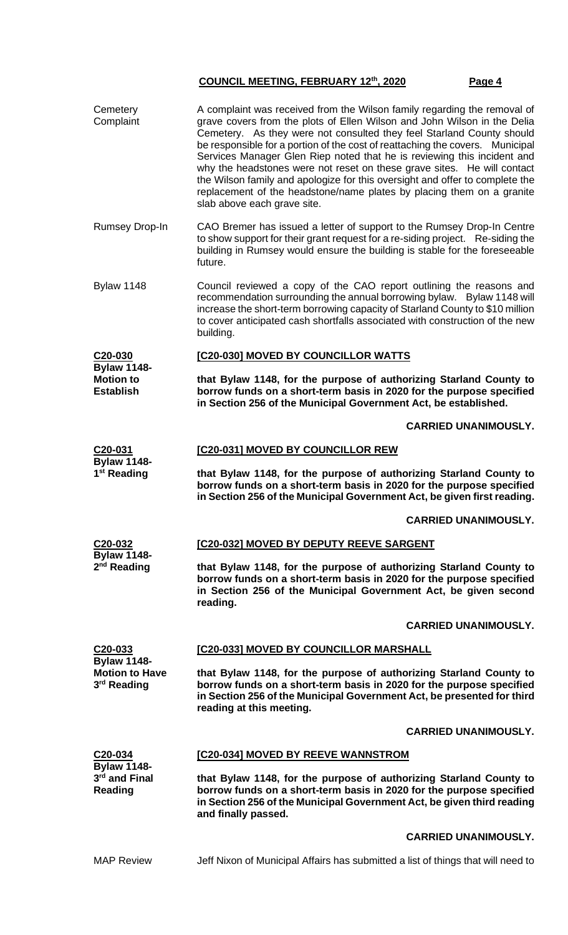| Cemetery<br>Complaint                                                  | A complaint was received from the Wilson family regarding the removal of<br>grave covers from the plots of Ellen Wilson and John Wilson in the Delia<br>Cemetery. As they were not consulted they feel Starland County should<br>be responsible for a portion of the cost of reattaching the covers. Municipal<br>Services Manager Glen Riep noted that he is reviewing this incident and<br>why the headstones were not reset on these grave sites. He will contact<br>the Wilson family and apologize for this oversight and offer to complete the<br>replacement of the headstone/name plates by placing them on a granite<br>slab above each grave site. |  |  |
|------------------------------------------------------------------------|--------------------------------------------------------------------------------------------------------------------------------------------------------------------------------------------------------------------------------------------------------------------------------------------------------------------------------------------------------------------------------------------------------------------------------------------------------------------------------------------------------------------------------------------------------------------------------------------------------------------------------------------------------------|--|--|
| <b>Rumsey Drop-In</b>                                                  | CAO Bremer has issued a letter of support to the Rumsey Drop-In Centre<br>to show support for their grant request for a re-siding project. Re-siding the<br>building in Rumsey would ensure the building is stable for the foreseeable<br>future.                                                                                                                                                                                                                                                                                                                                                                                                            |  |  |
| <b>Bylaw 1148</b>                                                      | Council reviewed a copy of the CAO report outlining the reasons and<br>recommendation surrounding the annual borrowing bylaw. Bylaw 1148 will<br>increase the short-term borrowing capacity of Starland County to \$10 million<br>to cover anticipated cash shortfalls associated with construction of the new<br>building.                                                                                                                                                                                                                                                                                                                                  |  |  |
| C <sub>20</sub> -030                                                   | [C20-030] MOVED BY COUNCILLOR WATTS                                                                                                                                                                                                                                                                                                                                                                                                                                                                                                                                                                                                                          |  |  |
| <b>Bylaw 1148-</b><br><b>Motion to</b><br><b>Establish</b>             | that Bylaw 1148, for the purpose of authorizing Starland County to<br>borrow funds on a short-term basis in 2020 for the purpose specified<br>in Section 256 of the Municipal Government Act, be established.                                                                                                                                                                                                                                                                                                                                                                                                                                                |  |  |
|                                                                        | <b>CARRIED UNANIMOUSLY.</b>                                                                                                                                                                                                                                                                                                                                                                                                                                                                                                                                                                                                                                  |  |  |
| C20-031                                                                | [C20-031] MOVED BY COUNCILLOR REW                                                                                                                                                                                                                                                                                                                                                                                                                                                                                                                                                                                                                            |  |  |
| <b>Bylaw 1148-</b><br>1 <sup>st</sup> Reading                          | that Bylaw 1148, for the purpose of authorizing Starland County to<br>borrow funds on a short-term basis in 2020 for the purpose specified<br>in Section 256 of the Municipal Government Act, be given first reading.                                                                                                                                                                                                                                                                                                                                                                                                                                        |  |  |
|                                                                        | <b>CARRIED UNANIMOUSLY.</b>                                                                                                                                                                                                                                                                                                                                                                                                                                                                                                                                                                                                                                  |  |  |
| C20-032                                                                | [C20-032] MOVED BY DEPUTY REEVE SARGENT                                                                                                                                                                                                                                                                                                                                                                                                                                                                                                                                                                                                                      |  |  |
| <b>Bylaw 1148-</b><br>2 <sup>nd</sup> Reading                          | that Bylaw 1148, for the purpose of authorizing Starland County to<br>borrow funds on a short-term basis in 2020 for the purpose specified<br>in Section 256 of the Municipal Government Act, be given second<br>reading.                                                                                                                                                                                                                                                                                                                                                                                                                                    |  |  |
|                                                                        | <b>CARRIED UNANIMOUSLY.</b>                                                                                                                                                                                                                                                                                                                                                                                                                                                                                                                                                                                                                                  |  |  |
| C20-033                                                                | [C20-033] MOVED BY COUNCILLOR MARSHALL                                                                                                                                                                                                                                                                                                                                                                                                                                                                                                                                                                                                                       |  |  |
| <b>Bylaw 1148-</b><br><b>Motion to Have</b><br>3 <sup>rd</sup> Reading | that Bylaw 1148, for the purpose of authorizing Starland County to<br>borrow funds on a short-term basis in 2020 for the purpose specified<br>in Section 256 of the Municipal Government Act, be presented for third<br>reading at this meeting.                                                                                                                                                                                                                                                                                                                                                                                                             |  |  |
|                                                                        | <b>CARRIED UNANIMOUSLY.</b>                                                                                                                                                                                                                                                                                                                                                                                                                                                                                                                                                                                                                                  |  |  |
| C20-034<br><b>Bylaw 1148-</b><br>3rd and Final<br><b>Reading</b>       | [C20-034] MOVED BY REEVE WANNSTROM                                                                                                                                                                                                                                                                                                                                                                                                                                                                                                                                                                                                                           |  |  |
|                                                                        | that Bylaw 1148, for the purpose of authorizing Starland County to<br>borrow funds on a short-term basis in 2020 for the purpose specified<br>in Section 256 of the Municipal Government Act, be given third reading<br>and finally passed.                                                                                                                                                                                                                                                                                                                                                                                                                  |  |  |
|                                                                        | <b>CARRIED UNANIMOUSLY.</b>                                                                                                                                                                                                                                                                                                                                                                                                                                                                                                                                                                                                                                  |  |  |

MAP Review Jeff Nixon of Municipal Affairs has submitted a list of things that will need to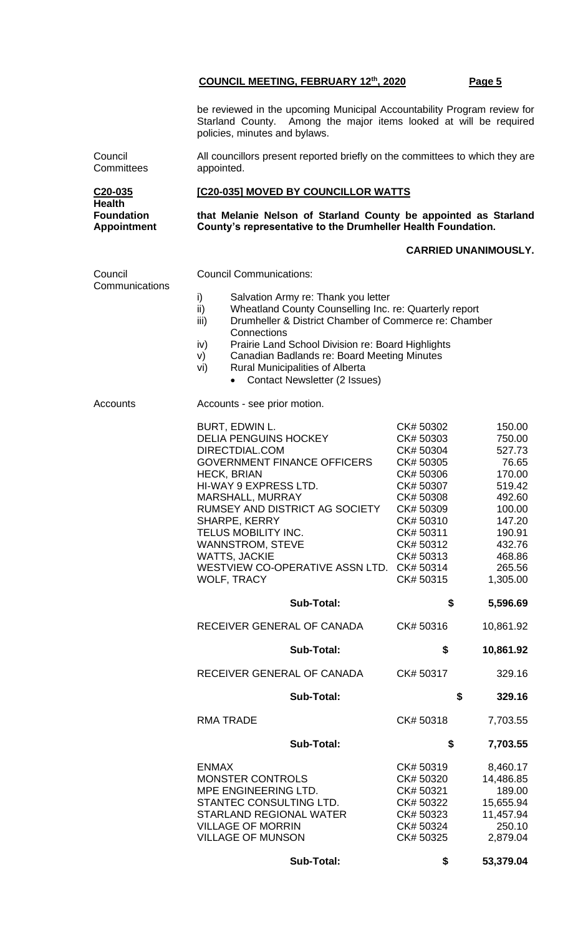be reviewed in the upcoming Municipal Accountability Program review for Starland County. Among the major items looked at will be required policies, minutes and bylaws.

Council **Committees** All councillors present reported briefly on the committees to which they are appointed.

## **[C20-035] MOVED BY COUNCILLOR WATTS**

**C20-035 Health** 

**that Melanie Nelson of Starland County be appointed as Starland County's representative to the Drumheller Health Foundation.**

#### **CARRIED UNANIMOUSLY.**

| <b>Foundation</b><br><b>Appointment</b> | that Melanie Nelson of Starland County be appointed as Starlan<br>County's representative to the Drumheller Health Foundation.                                                                                                                                                                                                                                                                       |                                                                                                                                                                       |                                                                                                                                           |  |
|-----------------------------------------|------------------------------------------------------------------------------------------------------------------------------------------------------------------------------------------------------------------------------------------------------------------------------------------------------------------------------------------------------------------------------------------------------|-----------------------------------------------------------------------------------------------------------------------------------------------------------------------|-------------------------------------------------------------------------------------------------------------------------------------------|--|
|                                         |                                                                                                                                                                                                                                                                                                                                                                                                      | <b>CARRIED UNANIMOUSLY</b>                                                                                                                                            |                                                                                                                                           |  |
| Council<br>Communications               | <b>Council Communications:</b>                                                                                                                                                                                                                                                                                                                                                                       |                                                                                                                                                                       |                                                                                                                                           |  |
|                                         | i)<br>Salvation Army re: Thank you letter<br>ii)<br>Wheatland County Counselling Inc. re: Quarterly report<br>Drumheller & District Chamber of Commerce re: Chamber<br>iii)<br>Connections<br>Prairie Land School Division re: Board Highlights<br>iv)<br>Canadian Badlands re: Board Meeting Minutes<br>V)<br><b>Rural Municipalities of Alberta</b><br>vi)<br><b>Contact Newsletter (2 Issues)</b> |                                                                                                                                                                       |                                                                                                                                           |  |
| Accounts                                | Accounts - see prior motion.                                                                                                                                                                                                                                                                                                                                                                         |                                                                                                                                                                       |                                                                                                                                           |  |
|                                         | BURT, EDWIN L.<br><b>DELIA PENGUINS HOCKEY</b><br>DIRECTDIAL.COM<br><b>GOVERNMENT FINANCE OFFICERS</b><br><b>HECK, BRIAN</b><br>HI-WAY 9 EXPRESS LTD.<br>MARSHALL, MURRAY<br>RUMSEY AND DISTRICT AG SOCIETY<br>SHARPE, KERRY<br>TELUS MOBILITY INC.<br><b>WANNSTROM, STEVE</b><br><b>WATTS, JACKIE</b><br>WESTVIEW CO-OPERATIVE ASSN LTD. CK# 50314<br><b>WOLF, TRACY</b>                            | CK# 50302<br>CK# 50303<br>CK# 50304<br>CK# 50305<br>CK# 50306<br>CK# 50307<br>CK# 50308<br>CK# 50309<br>CK# 50310<br>CK# 50311<br>CK# 50312<br>CK# 50313<br>CK# 50315 | 150.00<br>750.00<br>527.73<br>76.65<br>170.00<br>519.42<br>492.60<br>100.00<br>147.20<br>190.91<br>432.76<br>468.86<br>265.56<br>1,305.00 |  |
|                                         | <b>Sub-Total:</b>                                                                                                                                                                                                                                                                                                                                                                                    | \$                                                                                                                                                                    | 5,596.69                                                                                                                                  |  |
|                                         | RECEIVER GENERAL OF CANADA                                                                                                                                                                                                                                                                                                                                                                           | CK# 50316                                                                                                                                                             | 10,861.92                                                                                                                                 |  |
|                                         | Sub-Total:                                                                                                                                                                                                                                                                                                                                                                                           | \$                                                                                                                                                                    | 10,861.92                                                                                                                                 |  |
|                                         | RECEIVER GENERAL OF CANADA                                                                                                                                                                                                                                                                                                                                                                           | CK# 50317                                                                                                                                                             | 329.16                                                                                                                                    |  |
|                                         | Sub-Total:                                                                                                                                                                                                                                                                                                                                                                                           | \$                                                                                                                                                                    | 329.16                                                                                                                                    |  |
|                                         | <b>RMA TRADE</b>                                                                                                                                                                                                                                                                                                                                                                                     | CK# 50318                                                                                                                                                             | 7,703.55                                                                                                                                  |  |
|                                         | <b>Sub-Total:</b>                                                                                                                                                                                                                                                                                                                                                                                    | \$                                                                                                                                                                    | 7,703.55                                                                                                                                  |  |
|                                         | <b>ENMAX</b><br>MONSTER CONTROLS<br>MPE ENGINEERING LTD.<br>STANTEC CONSULTING LTD.<br>STARLAND REGIONAL WATER<br><b>VILLAGE OF MORRIN</b><br><b>VILLAGE OF MUNSON</b>                                                                                                                                                                                                                               | CK# 50319<br>CK# 50320<br>CK# 50321<br>CK# 50322<br>CK# 50323<br>CK# 50324<br>CK# 50325                                                                               | 8,460.17<br>14,486.85<br>189.00<br>15,655.94<br>11,457.94<br>250.10<br>2,879.04                                                           |  |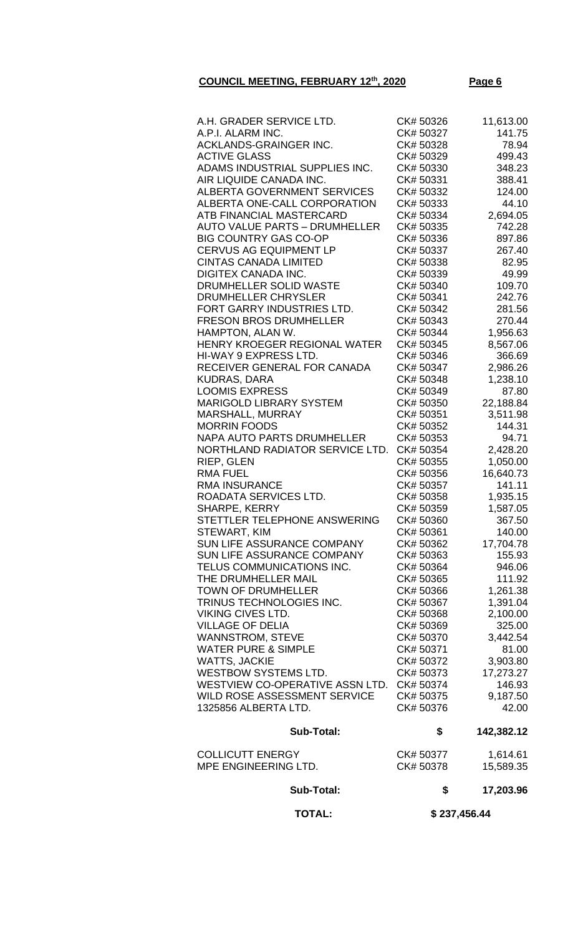|--|--|

| <b>TOTAL:</b>                        | \$237,456.44 |            |
|--------------------------------------|--------------|------------|
| <b>Sub-Total:</b>                    | \$           | 17,203.96  |
| <b>COLLICUTT ENERGY</b>              | CK# 50377    | 1,614.61   |
| MPE ENGINEERING LTD.                 | CK# 50378    | 15,589.35  |
| <b>Sub-Total:</b>                    | \$           | 142,382.12 |
| <b>BIG COUNTRY GAS CO-OP</b>         | CK# 50336    | 897.86     |
| <b>CERVUS AG EQUIPMENT LP</b>        | CK# 50337    | 267.40     |
| <b>CINTAS CANADA LIMITED</b>         | CK# 50338    | 82.95      |
| <b>DIGITEX CANADA INC.</b>           | CK# 50339    | 49.99      |
| DRUMHELLER SOLID WASTE               | CK# 50340    | 109.70     |
| DRUMHELLER CHRYSLER                  | CK# 50341    | 242.76     |
| FORT GARRY INDUSTRIES LTD.           | CK# 50342    | 281.56     |
| <b>FRESON BROS DRUMHELLER</b>        | CK# 50343    | 270.44     |
| HAMPTON, ALAN W.                     | CK# 50344    | 1,956.63   |
| HENRY KROEGER REGIONAL WATER         | CK# 50345    | 8,567.06   |
| HI-WAY 9 EXPRESS LTD.                | CK# 50346    | 366.69     |
| RECEIVER GENERAL FOR CANADA          | CK# 50347    | 2,986.26   |
| <b>KUDRAS, DARA</b>                  | CK# 50348    | 1,238.10   |
| <b>LOOMIS EXPRESS</b>                | CK# 50349    | 87.80      |
| <b>MARIGOLD LIBRARY SYSTEM</b>       | CK# 50350    | 22,188.84  |
| <b>MARSHALL, MURRAY</b>              | CK# 50351    | 3,511.98   |
| <b>MORRIN FOODS</b>                  | CK# 50352    | 144.31     |
| <b>NAPA AUTO PARTS DRUMHELLER</b>    | CK# 50353    | 94.71      |
| NORTHLAND RADIATOR SERVICE LTD.      | CK# 50354    | 2,428.20   |
| RIEP, GLEN                           | CK# 50355    | 1,050.00   |
| <b>RMA FUEL</b>                      | CK# 50356    | 16,640.73  |
| <b>RMA INSURANCE</b>                 | CK# 50357    | 141.11     |
| ROADATA SERVICES LTD.                | CK# 50358    | 1,935.15   |
| SHARPE, KERRY                        | CK# 50359    | 1,587.05   |
| STETTLER TELEPHONE ANSWERING         | CK# 50360    | 367.50     |
| STEWART, KIM                         | CK# 50361    | 140.00     |
| SUN LIFE ASSURANCE COMPANY           | CK# 50362    | 17,704.78  |
| SUN LIFE ASSURANCE COMPANY           | CK# 50363    | 155.93     |
| TELUS COMMUNICATIONS INC.            | CK# 50364    | 946.06     |
| THE DRUMHELLER MAIL                  | CK# 50365    | 111.92     |
| <b>TOWN OF DRUMHELLER</b>            | CK# 50366    | 1,261.38   |
| TRINUS TECHNOLOGIES INC.             | CK# 50367    | 1,391.04   |
| <b>VIKING CIVES LTD.</b>             | CK# 50368    | 2,100.00   |
| <b>VILLAGE OF DELIA</b>              | CK# 50369    | 325.00     |
| <b>WANNSTROM, STEVE</b>              | CK# 50370    | 3,442.54   |
| <b>WATER PURE &amp; SIMPLE</b>       | CK# 50371    | 81.00      |
| <b>WATTS, JACKIE</b>                 | CK# 50372    | 3,903.80   |
| <b>WESTBOW SYSTEMS LTD.</b>          | CK# 50373    | 17,273.27  |
| WESTVIEW CO-OPERATIVE ASSN LTD.      | CK# 50374    | 146.93     |
| WILD ROSE ASSESSMENT SERVICE         | CK# 50375    | 9,187.50   |
| 1325856 ALBERTA LTD.                 | CK# 50376    | 42.00      |
| A.H. GRADER SERVICE LTD.             | CK# 50326    | 11,613.00  |
| A.P.I. ALARM INC.                    | CK# 50327    | 141.75     |
| ACKLANDS-GRAINGER INC.               | CK# 50328    | 78.94      |
| <b>ACTIVE GLASS</b>                  | CK# 50329    | 499.43     |
| ADAMS INDUSTRIAL SUPPLIES INC.       | CK# 50330    | 348.23     |
| AIR LIQUIDE CANADA INC.              | CK# 50331    | 388.41     |
| <b>ALBERTA GOVERNMENT SERVICES</b>   | CK# 50332    | 124.00     |
| ALBERTA ONE-CALL CORPORATION         | CK# 50333    | 44.10      |
| ATB FINANCIAL MASTERCARD             | CK# 50334    | 2,694.05   |
| <b>AUTO VALUE PARTS - DRUMHELLER</b> | CK# 50335    | 742.28     |